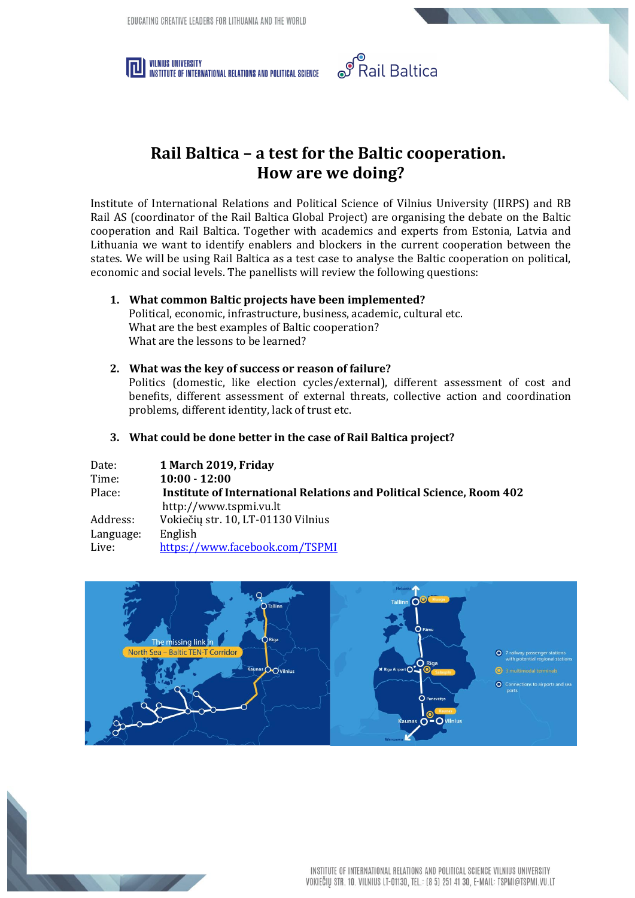



## **Rail Baltica – a test for the Baltic cooperation. How are we doing?**

Institute of International Relations and Political Science of Vilnius University (IIRPS) and RB Rail AS (coordinator of the Rail Baltica Global Project) are organising the debate on the Baltic cooperation and Rail Baltica. Together with academics and experts from Estonia, Latvia and Lithuania we want to identify enablers and blockers in the current cooperation between the states. We will be using Rail Baltica as a test case to analyse the Baltic cooperation on political, economic and social levels. The panellists will review the following questions:

**1. What common Baltic projects have been implemented?** Political, economic, infrastructure, business, academic, cultural etc.

What are the best examples of Baltic cooperation?

- What are the lessons to be learned?
- **2. What was the key of success or reason of failure?** Politics (domestic, like election cycles/external), different assessment of cost and benefits, different assessment of external threats, collective action and coordination problems, different identity, lack of trust etc.
- **3. What could be done better in the case of Rail Baltica project?**

| Date:     | 1 March 2019, Friday                                                        |
|-----------|-----------------------------------------------------------------------------|
| Time:     | $10:00 - 12:00$                                                             |
| Place:    | <b>Institute of International Relations and Political Science, Room 402</b> |
|           | http://www.tspmi.vu.lt                                                      |
| Address:  | Vokiečių str. 10, LT-01130 Vilnius                                          |
| Language: | English                                                                     |
| Live:     | https://www.facebook.com/TSPMI                                              |